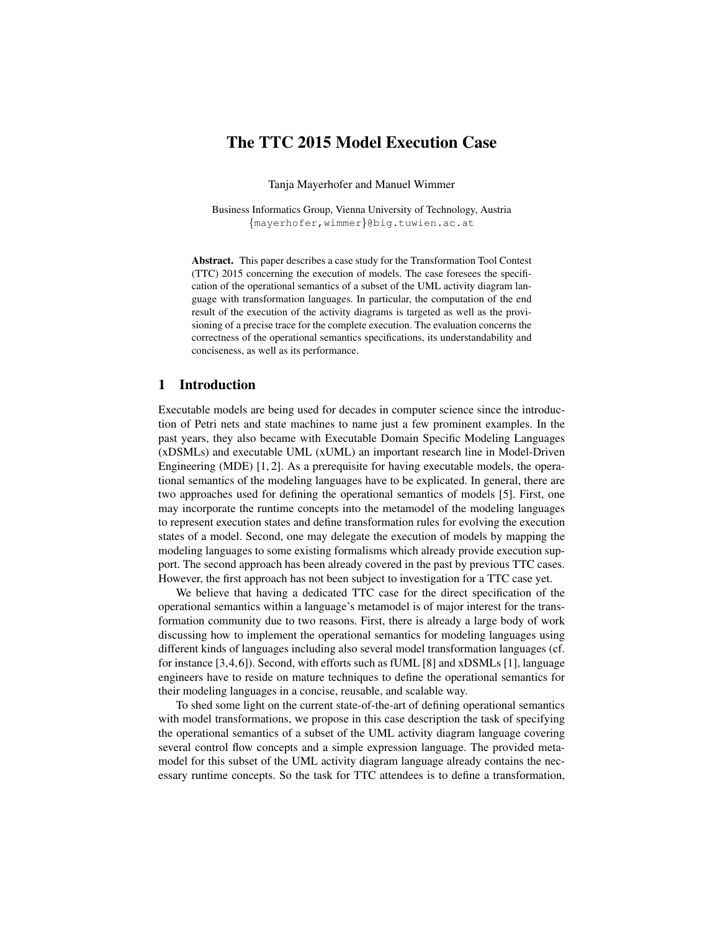# The TTC 2015 Model Execution Case

Tanja Mayerhofer and Manuel Wimmer

Business Informatics Group, Vienna University of Technology, Austria {mayerhofer,wimmer}@big.tuwien.ac.at

Abstract. This paper describes a case study for the Transformation Tool Contest (TTC) 2015 concerning the execution of models. The case foresees the specification of the operational semantics of a subset of the UML activity diagram language with transformation languages. In particular, the computation of the end result of the execution of the activity diagrams is targeted as well as the provisioning of a precise trace for the complete execution. The evaluation concerns the correctness of the operational semantics specifications, its understandability and conciseness, as well as its performance.

## 1 Introduction

Executable models are being used for decades in computer science since the introduction of Petri nets and state machines to name just a few prominent examples. In the past years, they also became with Executable Domain Specific Modeling Languages (xDSMLs) and executable UML (xUML) an important research line in Model-Driven Engineering (MDE) [1, 2]. As a prerequisite for having executable models, the operational semantics of the modeling languages have to be explicated. In general, there are two approaches used for defining the operational semantics of models [5]. First, one may incorporate the runtime concepts into the metamodel of the modeling languages to represent execution states and define transformation rules for evolving the execution states of a model. Second, one may delegate the execution of models by mapping the modeling languages to some existing formalisms which already provide execution support. The second approach has been already covered in the past by previous TTC cases. However, the first approach has not been subject to investigation for a TTC case yet.

We believe that having a dedicated TTC case for the direct specification of the operational semantics within a language's metamodel is of major interest for the transformation community due to two reasons. First, there is already a large body of work discussing how to implement the operational semantics for modeling languages using different kinds of languages including also several model transformation languages (cf. for instance [3,4,6]). Second, with efforts such as fUML [8] and xDSMLs [1], language engineers have to reside on mature techniques to define the operational semantics for their modeling languages in a concise, reusable, and scalable way.

To shed some light on the current state-of-the-art of defining operational semantics with model transformations, we propose in this case description the task of specifying the operational semantics of a subset of the UML activity diagram language covering several control flow concepts and a simple expression language. The provided metamodel for this subset of the UML activity diagram language already contains the necessary runtime concepts. So the task for TTC attendees is to define a transformation,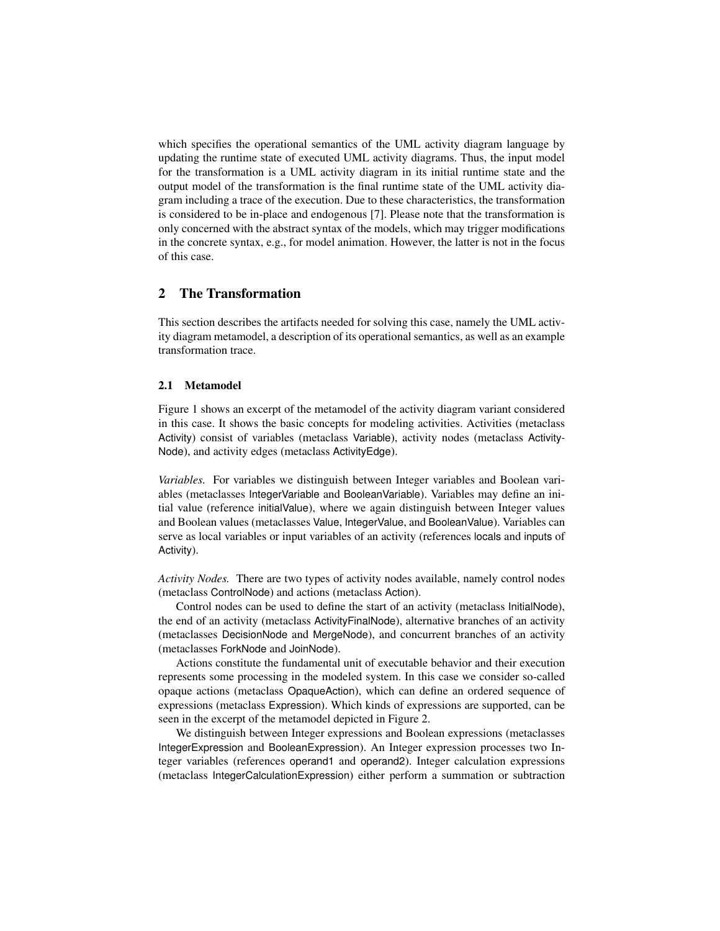which specifies the operational semantics of the UML activity diagram language by updating the runtime state of executed UML activity diagrams. Thus, the input model for the transformation is a UML activity diagram in its initial runtime state and the output model of the transformation is the final runtime state of the UML activity diagram including a trace of the execution. Due to these characteristics, the transformation is considered to be in-place and endogenous [7]. Please note that the transformation is only concerned with the abstract syntax of the models, which may trigger modifications in the concrete syntax, e.g., for model animation. However, the latter is not in the focus of this case.

## 2 The Transformation

This section describes the artifacts needed for solving this case, namely the UML activity diagram metamodel, a description of its operational semantics, as well as an example transformation trace.

#### 2.1 Metamodel

Figure 1 shows an excerpt of the metamodel of the activity diagram variant considered in this case. It shows the basic concepts for modeling activities. Activities (metaclass Activity) consist of variables (metaclass Variable), activity nodes (metaclass Activity-Node), and activity edges (metaclass ActivityEdge).

*Variables.* For variables we distinguish between Integer variables and Boolean variables (metaclasses IntegerVariable and BooleanVariable). Variables may define an initial value (reference initialValue), where we again distinguish between Integer values and Boolean values (metaclasses Value, IntegerValue, and BooleanValue). Variables can serve as local variables or input variables of an activity (references locals and inputs of Activity).

*Activity Nodes.* There are two types of activity nodes available, namely control nodes (metaclass ControlNode) and actions (metaclass Action).

Control nodes can be used to define the start of an activity (metaclass InitialNode), the end of an activity (metaclass ActivityFinalNode), alternative branches of an activity (metaclasses DecisionNode and MergeNode), and concurrent branches of an activity (metaclasses ForkNode and JoinNode).

Actions constitute the fundamental unit of executable behavior and their execution represents some processing in the modeled system. In this case we consider so-called opaque actions (metaclass OpaqueAction), which can define an ordered sequence of expressions (metaclass Expression). Which kinds of expressions are supported, can be seen in the excerpt of the metamodel depicted in Figure 2.

We distinguish between Integer expressions and Boolean expressions (metaclasses IntegerExpression and BooleanExpression). An Integer expression processes two Integer variables (references operand1 and operand2). Integer calculation expressions (metaclass IntegerCalculationExpression) either perform a summation or subtraction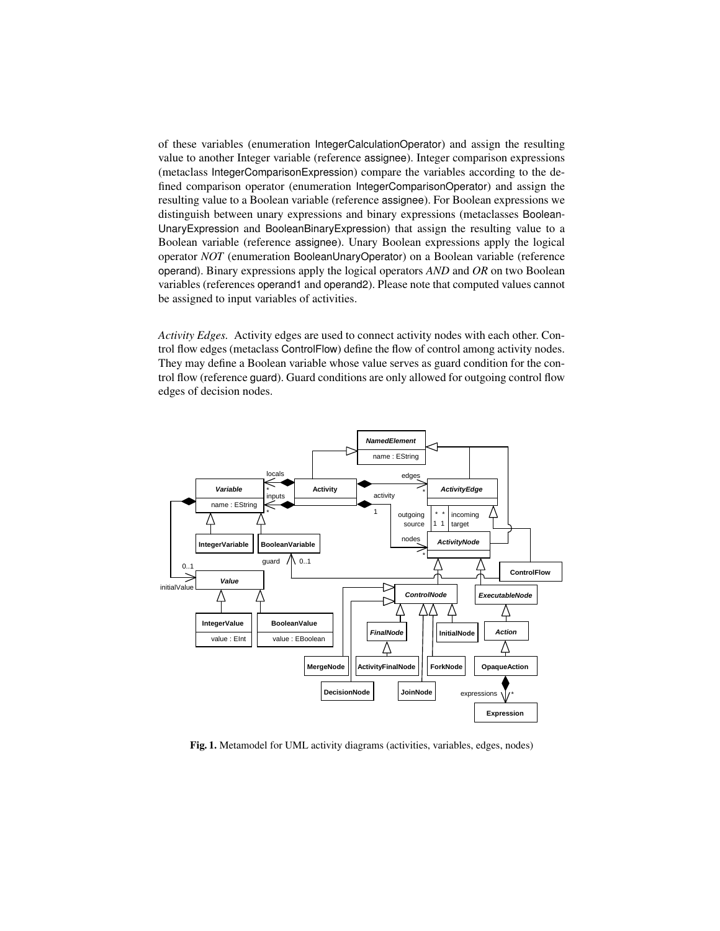of these variables (enumeration IntegerCalculationOperator) and assign the resulting value to another Integer variable (reference assignee). Integer comparison expressions (metaclass IntegerComparisonExpression) compare the variables according to the defined comparison operator (enumeration IntegerComparisonOperator) and assign the resulting value to a Boolean variable (reference assignee). For Boolean expressions we distinguish between unary expressions and binary expressions (metaclasses Boolean-UnaryExpression and BooleanBinaryExpression) that assign the resulting value to a Boolean variable (reference assignee). Unary Boolean expressions apply the logical operator *NOT* (enumeration BooleanUnaryOperator) on a Boolean variable (reference operand). Binary expressions apply the logical operators *AND* and *OR* on two Boolean variables (references operand1 and operand2). Please note that computed values cannot be assigned to input variables of activities.

*Activity Edges.* Activity edges are used to connect activity nodes with each other. Control flow edges (metaclass ControlFlow) define the flow of control among activity nodes. They may define a Boolean variable whose value serves as guard condition for the control flow (reference guard). Guard conditions are only allowed for outgoing control flow edges of decision nodes.



Fig. 1. Metamodel for UML activity diagrams (activities, variables, edges, nodes)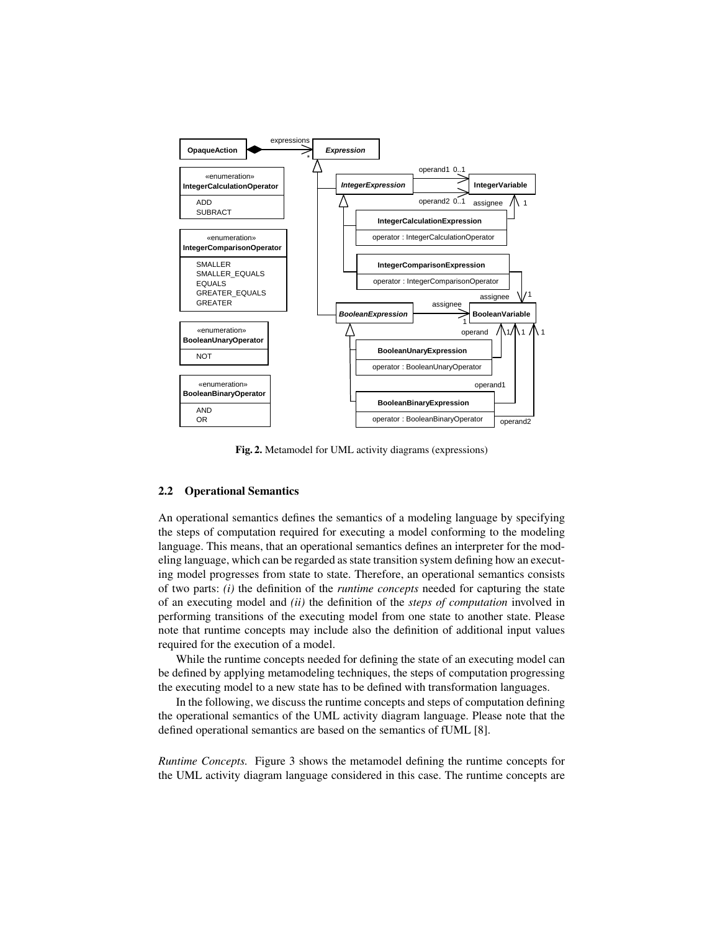

Fig. 2. Metamodel for UML activity diagrams (expressions)

#### 2.2 Operational Semantics

An operational semantics defines the semantics of a modeling language by specifying the steps of computation required for executing a model conforming to the modeling language. This means, that an operational semantics defines an interpreter for the modeling language, which can be regarded as state transition system defining how an executing model progresses from state to state. Therefore, an operational semantics consists of two parts: *(i)* the definition of the *runtime concepts* needed for capturing the state of an executing model and *(ii)* the definition of the *steps of computation* involved in performing transitions of the executing model from one state to another state. Please note that runtime concepts may include also the definition of additional input values required for the execution of a model.

While the runtime concepts needed for defining the state of an executing model can be defined by applying metamodeling techniques, the steps of computation progressing the executing model to a new state has to be defined with transformation languages.

In the following, we discuss the runtime concepts and steps of computation defining the operational semantics of the UML activity diagram language. Please note that the defined operational semantics are based on the semantics of fUML [8].

*Runtime Concepts.* Figure 3 shows the metamodel defining the runtime concepts for the UML activity diagram language considered in this case. The runtime concepts are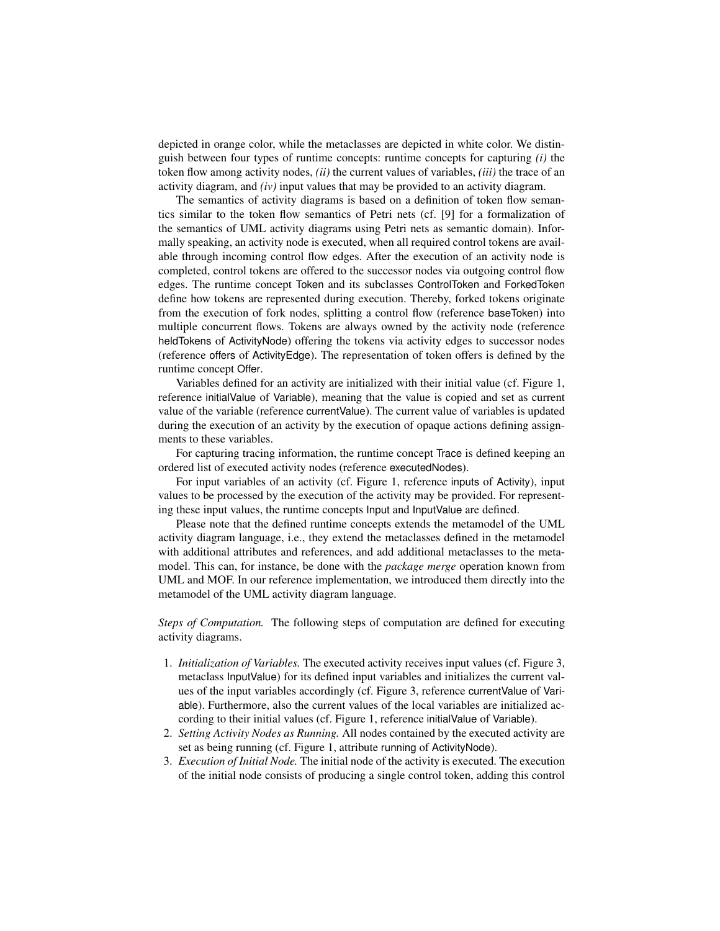depicted in orange color, while the metaclasses are depicted in white color. We distinguish between four types of runtime concepts: runtime concepts for capturing *(i)* the token flow among activity nodes, *(ii)* the current values of variables, *(iii)* the trace of an activity diagram, and *(iv)* input values that may be provided to an activity diagram.

The semantics of activity diagrams is based on a definition of token flow semantics similar to the token flow semantics of Petri nets (cf. [9] for a formalization of the semantics of UML activity diagrams using Petri nets as semantic domain). Informally speaking, an activity node is executed, when all required control tokens are available through incoming control flow edges. After the execution of an activity node is completed, control tokens are offered to the successor nodes via outgoing control flow edges. The runtime concept Token and its subclasses ControlToken and ForkedToken define how tokens are represented during execution. Thereby, forked tokens originate from the execution of fork nodes, splitting a control flow (reference baseToken) into multiple concurrent flows. Tokens are always owned by the activity node (reference heldTokens of ActivityNode) offering the tokens via activity edges to successor nodes (reference offers of ActivityEdge). The representation of token offers is defined by the runtime concept Offer.

Variables defined for an activity are initialized with their initial value (cf. Figure 1, reference initialValue of Variable), meaning that the value is copied and set as current value of the variable (reference currentValue). The current value of variables is updated during the execution of an activity by the execution of opaque actions defining assignments to these variables.

For capturing tracing information, the runtime concept Trace is defined keeping an ordered list of executed activity nodes (reference executedNodes).

For input variables of an activity (cf. Figure 1, reference inputs of Activity), input values to be processed by the execution of the activity may be provided. For representing these input values, the runtime concepts Input and InputValue are defined.

Please note that the defined runtime concepts extends the metamodel of the UML activity diagram language, i.e., they extend the metaclasses defined in the metamodel with additional attributes and references, and add additional metaclasses to the metamodel. This can, for instance, be done with the *package merge* operation known from UML and MOF. In our reference implementation, we introduced them directly into the metamodel of the UML activity diagram language.

*Steps of Computation.* The following steps of computation are defined for executing activity diagrams.

- 1. *Initialization of Variables.* The executed activity receives input values (cf. Figure 3, metaclass InputValue) for its defined input variables and initializes the current values of the input variables accordingly (cf. Figure 3, reference currentValue of Variable). Furthermore, also the current values of the local variables are initialized according to their initial values (cf. Figure 1, reference initialValue of Variable).
- 2. *Setting Activity Nodes as Running.* All nodes contained by the executed activity are set as being running (cf. Figure 1, attribute running of ActivityNode).
- 3. *Execution of Initial Node.* The initial node of the activity is executed. The execution of the initial node consists of producing a single control token, adding this control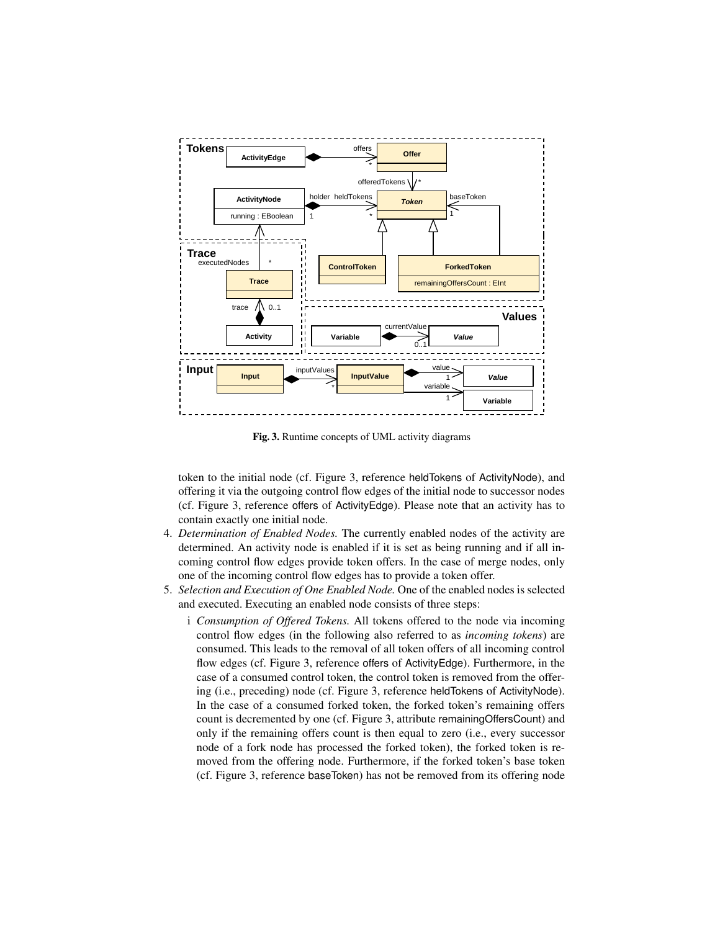

Fig. 3. Runtime concepts of UML activity diagrams

token to the initial node (cf. Figure 3, reference heldTokens of ActivityNode), and offering it via the outgoing control flow edges of the initial node to successor nodes (cf. Figure 3, reference offers of ActivityEdge). Please note that an activity has to contain exactly one initial node.

- 4. *Determination of Enabled Nodes.* The currently enabled nodes of the activity are determined. An activity node is enabled if it is set as being running and if all incoming control flow edges provide token offers. In the case of merge nodes, only one of the incoming control flow edges has to provide a token offer.
- 5. *Selection and Execution of One Enabled Node.* One of the enabled nodes is selected and executed. Executing an enabled node consists of three steps:
	- i *Consumption of Offered Tokens.* All tokens offered to the node via incoming control flow edges (in the following also referred to as *incoming tokens*) are consumed. This leads to the removal of all token offers of all incoming control flow edges (cf. Figure 3, reference offers of ActivityEdge). Furthermore, in the case of a consumed control token, the control token is removed from the offering (i.e., preceding) node (cf. Figure 3, reference heldTokens of ActivityNode). In the case of a consumed forked token, the forked token's remaining offers count is decremented by one (cf. Figure 3, attribute remainingOffersCount) and only if the remaining offers count is then equal to zero (i.e., every successor node of a fork node has processed the forked token), the forked token is removed from the offering node. Furthermore, if the forked token's base token (cf. Figure 3, reference baseToken) has not be removed from its offering node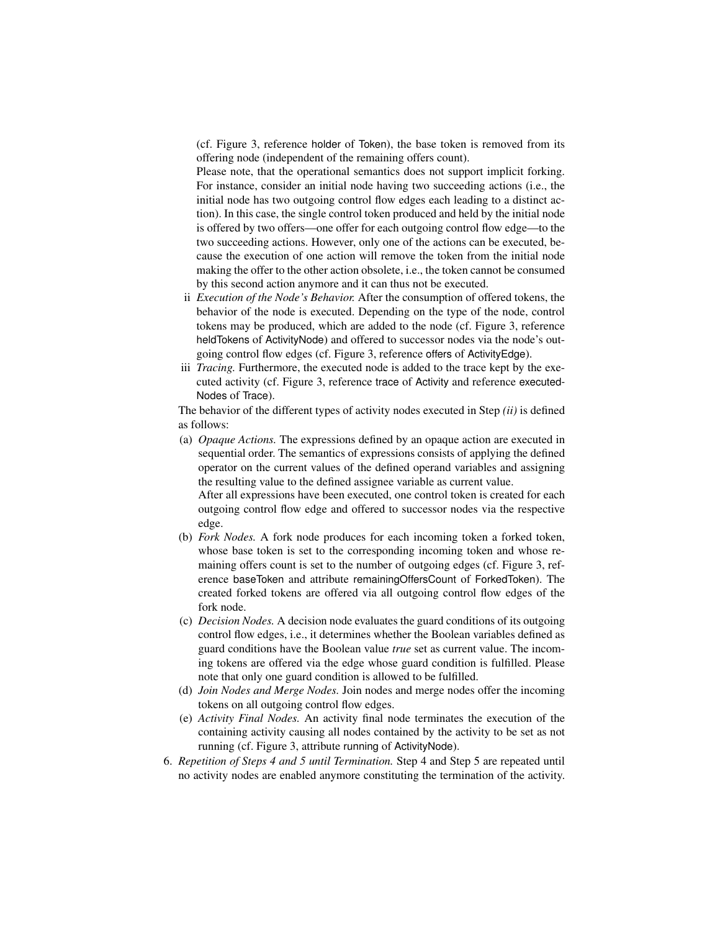(cf. Figure 3, reference holder of Token), the base token is removed from its offering node (independent of the remaining offers count).

Please note, that the operational semantics does not support implicit forking. For instance, consider an initial node having two succeeding actions (i.e., the initial node has two outgoing control flow edges each leading to a distinct action). In this case, the single control token produced and held by the initial node is offered by two offers—one offer for each outgoing control flow edge—to the two succeeding actions. However, only one of the actions can be executed, because the execution of one action will remove the token from the initial node making the offer to the other action obsolete, i.e., the token cannot be consumed by this second action anymore and it can thus not be executed.

- ii *Execution of the Node's Behavior.* After the consumption of offered tokens, the behavior of the node is executed. Depending on the type of the node, control tokens may be produced, which are added to the node (cf. Figure 3, reference heldTokens of ActivityNode) and offered to successor nodes via the node's outgoing control flow edges (cf. Figure 3, reference offers of ActivityEdge).
- iii *Tracing.* Furthermore, the executed node is added to the trace kept by the executed activity (cf. Figure 3, reference trace of Activity and reference executed-Nodes of Trace).

The behavior of the different types of activity nodes executed in Step *(ii)* is defined as follows:

(a) *Opaque Actions.* The expressions defined by an opaque action are executed in sequential order. The semantics of expressions consists of applying the defined operator on the current values of the defined operand variables and assigning the resulting value to the defined assignee variable as current value.

After all expressions have been executed, one control token is created for each outgoing control flow edge and offered to successor nodes via the respective edge.

- (b) *Fork Nodes.* A fork node produces for each incoming token a forked token, whose base token is set to the corresponding incoming token and whose remaining offers count is set to the number of outgoing edges (cf. Figure 3, reference baseToken and attribute remainingOffersCount of ForkedToken). The created forked tokens are offered via all outgoing control flow edges of the fork node.
- (c) *Decision Nodes.* A decision node evaluates the guard conditions of its outgoing control flow edges, i.e., it determines whether the Boolean variables defined as guard conditions have the Boolean value *true* set as current value. The incoming tokens are offered via the edge whose guard condition is fulfilled. Please note that only one guard condition is allowed to be fulfilled.
- (d) *Join Nodes and Merge Nodes.* Join nodes and merge nodes offer the incoming tokens on all outgoing control flow edges.
- (e) *Activity Final Nodes.* An activity final node terminates the execution of the containing activity causing all nodes contained by the activity to be set as not running (cf. Figure 3, attribute running of ActivityNode).
- 6. *Repetition of Steps 4 and 5 until Termination.* Step 4 and Step 5 are repeated until no activity nodes are enabled anymore constituting the termination of the activity.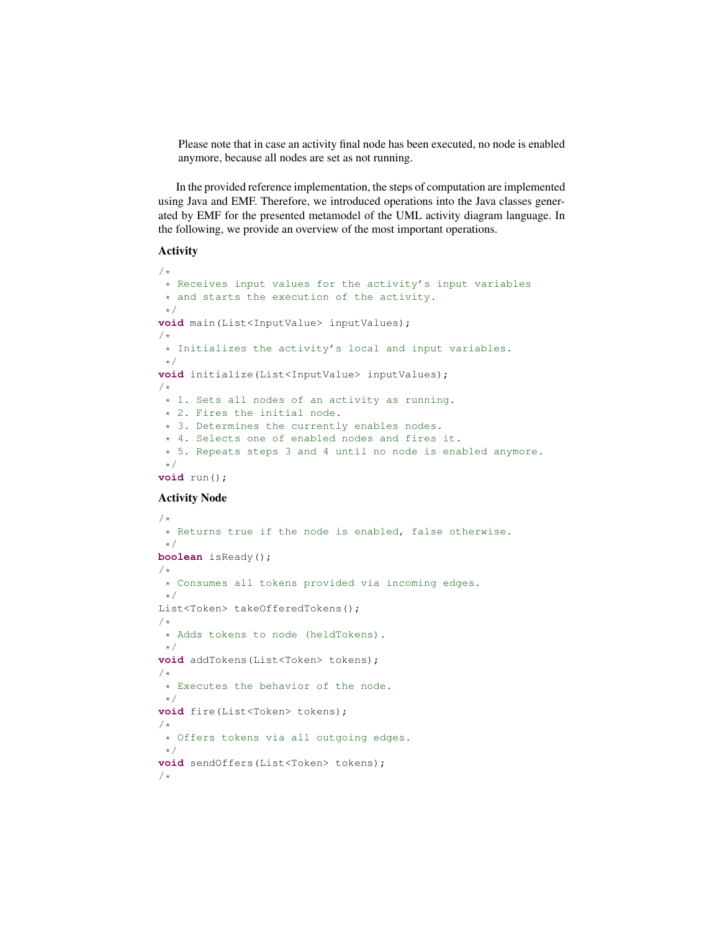Please note that in case an activity final node has been executed, no node is enabled anymore, because all nodes are set as not running.

In the provided reference implementation, the steps of computation are implemented using Java and EMF. Therefore, we introduced operations into the Java classes generated by EMF for the presented metamodel of the UML activity diagram language. In the following, we provide an overview of the most important operations.

### Activity

```
/*
 * Receives input values for the activity's input variables
 * and starts the execution of the activity.
*/
void main(List<InputValue> inputValues);
/*
* Initializes the activity's local and input variables.
*/
void initialize(List<InputValue> inputValues);
/*
* 1. Sets all nodes of an activity as running.
 * 2. Fires the initial node.
* 3. Determines the currently enables nodes.
 * 4. Selects one of enabled nodes and fires it.
 * 5. Repeats steps 3 and 4 until no node is enabled anymore.
\star/void run();
```
## Activity Node

```
/*
 * Returns true if the node is enabled, false otherwise.
 \star/boolean isReady();
/*
 * Consumes all tokens provided via incoming edges.
 \star/List<Token> takeOfferedTokens();
/*
* Adds tokens to node (heldTokens).
 */
void addTokens(List<Token> tokens);
/*
* Executes the behavior of the node.
 \star/void fire(List<Token> tokens);
/*
 * Offers tokens via all outgoing edges.
 \star/void sendOffers(List<Token> tokens);
/*
```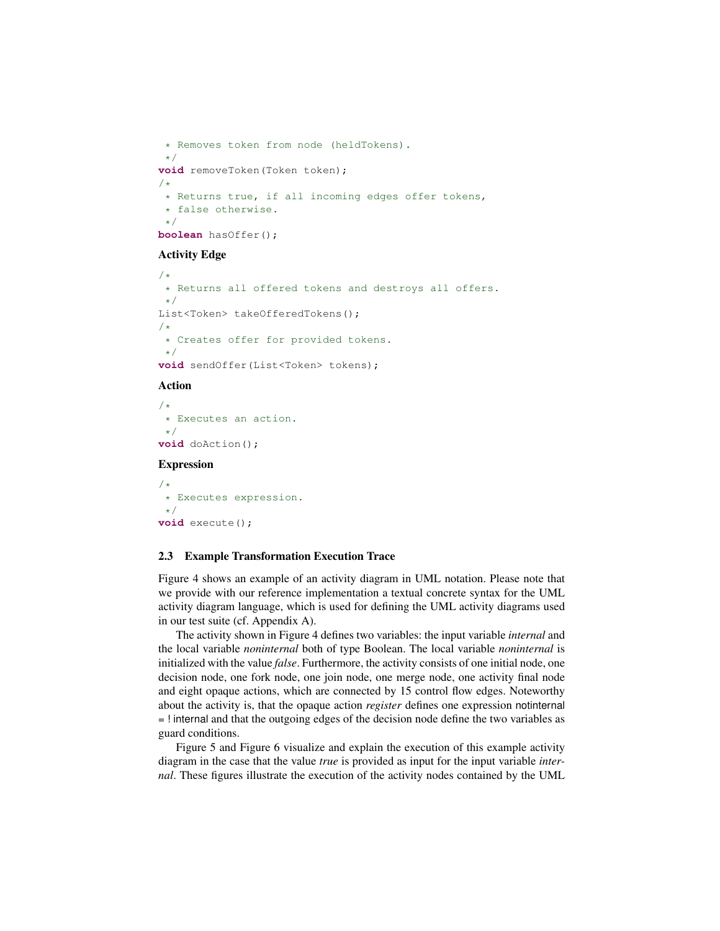```
* Removes token from node (heldTokens).
 */
void removeToken(Token token);
/*
 * Returns true, if all incoming edges offer tokens,
 * false otherwise.
 */
boolean hasOffer();
```
## Activity Edge

```
/*
 * Returns all offered tokens and destroys all offers.
\star/List<Token> takeOfferedTokens();
/*
 * Creates offer for provided tokens.
\star/void sendOffer(List<Token> tokens);
```
#### Action

 $/$ \* \* Executes an action. \*/ **void** doAction();

## Expression

```
/*
 * Executes expression.
 */
void execute();
```
#### 2.3 Example Transformation Execution Trace

Figure 4 shows an example of an activity diagram in UML notation. Please note that we provide with our reference implementation a textual concrete syntax for the UML activity diagram language, which is used for defining the UML activity diagrams used in our test suite (cf. Appendix A).

The activity shown in Figure 4 defines two variables: the input variable *internal* and the local variable *noninternal* both of type Boolean. The local variable *noninternal* is initialized with the value *false*. Furthermore, the activity consists of one initial node, one decision node, one fork node, one join node, one merge node, one activity final node and eight opaque actions, which are connected by 15 control flow edges. Noteworthy about the activity is, that the opaque action *register* defines one expression notinternal = ! internal and that the outgoing edges of the decision node define the two variables as guard conditions.

Figure 5 and Figure 6 visualize and explain the execution of this example activity diagram in the case that the value *true* is provided as input for the input variable *internal*. These figures illustrate the execution of the activity nodes contained by the UML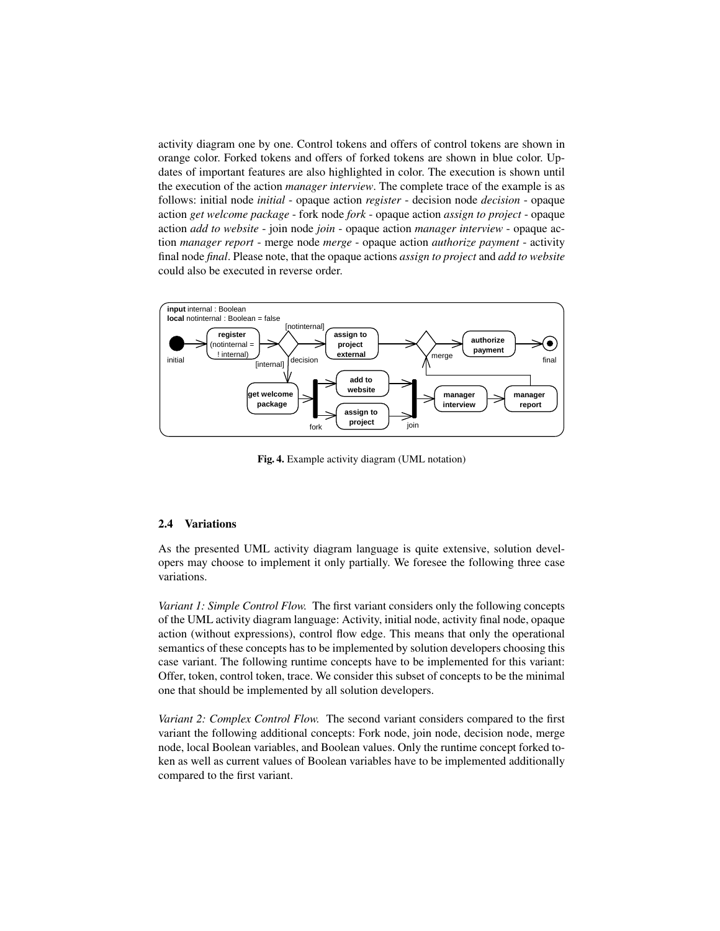activity diagram one by one. Control tokens and offers of control tokens are shown in orange color. Forked tokens and offers of forked tokens are shown in blue color. Updates of important features are also highlighted in color. The execution is shown until the execution of the action *manager interview*. The complete trace of the example is as follows: initial node *initial* - opaque action *register* - decision node *decision* - opaque action *get welcome package* - fork node *fork* - opaque action *assign to project* - opaque action *add to website* - join node *join* - opaque action *manager interview* - opaque action *manager report* - merge node *merge* - opaque action *authorize payment* - activity final node *final*. Please note, that the opaque actions *assign to project* and *add to website* could also be executed in reverse order.



Fig. 4. Example activity diagram (UML notation)

#### 2.4 Variations

As the presented UML activity diagram language is quite extensive, solution developers may choose to implement it only partially. We foresee the following three case variations.

*Variant 1: Simple Control Flow.* The first variant considers only the following concepts of the UML activity diagram language: Activity, initial node, activity final node, opaque action (without expressions), control flow edge. This means that only the operational semantics of these concepts has to be implemented by solution developers choosing this case variant. The following runtime concepts have to be implemented for this variant: Offer, token, control token, trace. We consider this subset of concepts to be the minimal one that should be implemented by all solution developers.

*Variant 2: Complex Control Flow.* The second variant considers compared to the first variant the following additional concepts: Fork node, join node, decision node, merge node, local Boolean variables, and Boolean values. Only the runtime concept forked token as well as current values of Boolean variables have to be implemented additionally compared to the first variant.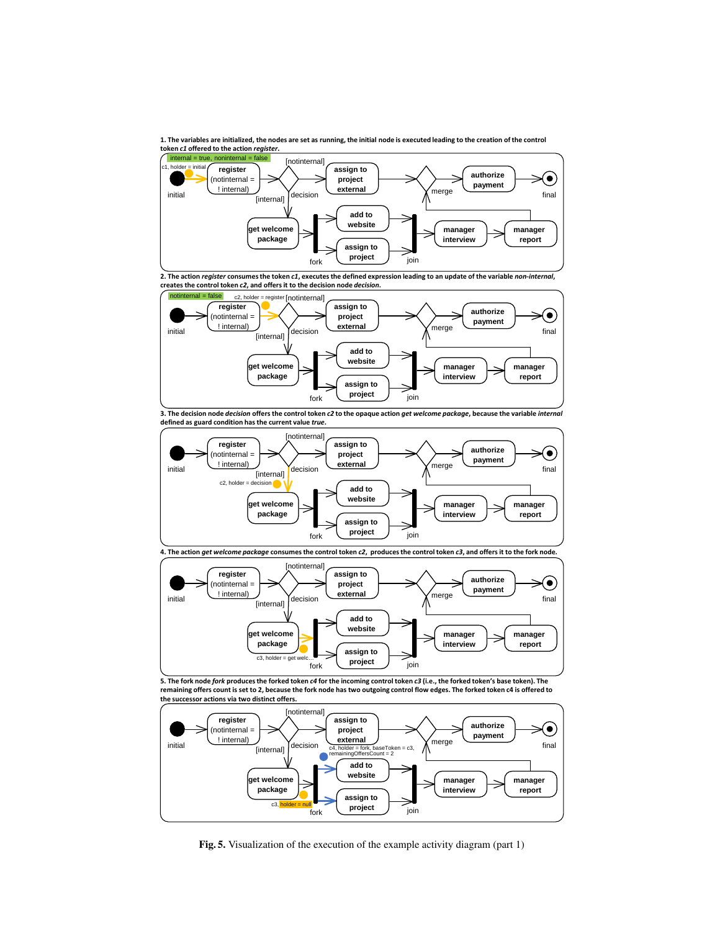**1. The variables are initialized, the nodes are set as running, the initial node is executed leading to the creation of the control token** *c1* **offered to the action** *register***.** 



**2. The action** *register* **consumes the token** *c1***, executes the defined expression leading to an update of the variable** *non-internal***, creates the control token** *c2***, and offers it to the decision node** *decision***.**



**3. The decision node** *decision* **offers the control token** *c2* **to the opaque action** *get welcome package***, because the variable** *internal*  **defined as guard condition has the current value** *true***.**



**Inotinternal register assign to authorize**   $\left( \bullet \right)$ (notinternal = **project payment** ! internal) **external** merge initial **internal** [internal] decision  $[\text{internal}]$  decision  $\overbrace{\hspace{1.5cm}}^{5.000}$  merge  $\overbrace{\hspace{1.5cm}}^{1.000}$  final **add to website get welcome manager manager package interview report assign to**   $c3$ , holder = get w **project** ioin fork

**5. The fork node** *fork* **produces the forked token** *c4* **for the incoming control token** *c3* **(i.e., the forked token's base token). The remaining offers count is set to 2, because the fork node has two outgoing control flow edges. The forked token c4 is offered to the successor actions via two distinct offers.**



 $\overline{a}$  and  $\overline{a}$ **Fig. 5.** Visualization of the execution of the example activity diagram (part 1)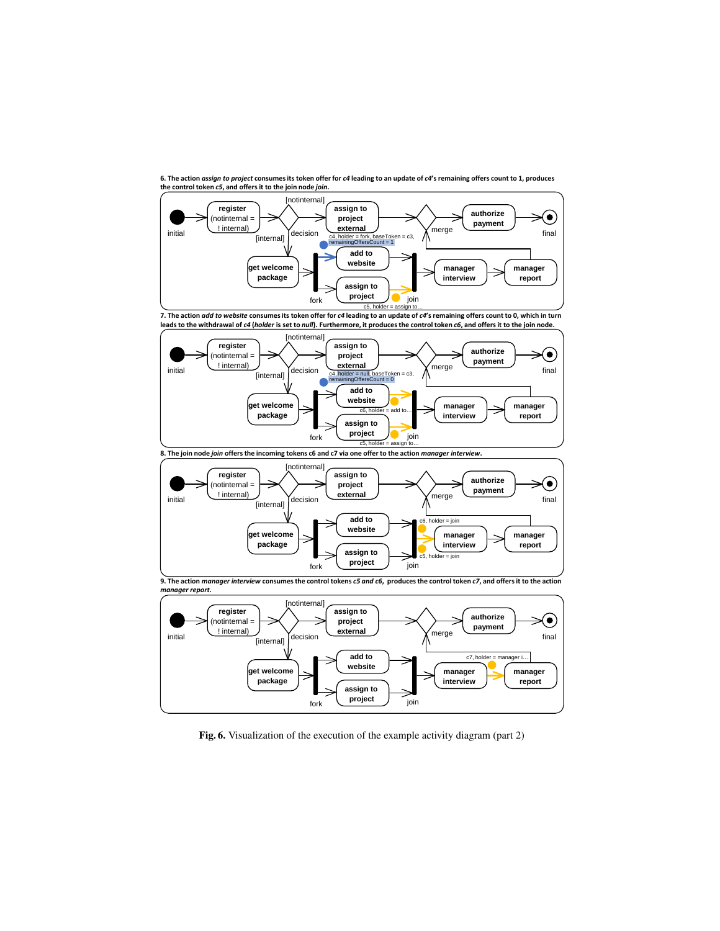

**6. The action** *assign to project* **consumes its token offer for** *c4* **leading to an update of** *c4***'s remaining offers count to 1, produces the control token** *c5***, and offers it to the join node** *join***.**

**7. The action** *add to website* **consumes its token offer for** *c4* **leading to an update of** *c4***'s remaining offers count to 0, which in turn**  leads to the withdrawal of *c4* (*holder* is set to *null*). Furthermore, it produces the control token *c6*, and offers it to the join node





**9. The action** *manager interview* **consumes the control tokens** *c5 and c6***, produces the control token** *c7***, and offers it to the action**  *manager report.*



Fig. 6. Visualization of the execution of the example activity diagram (part 2)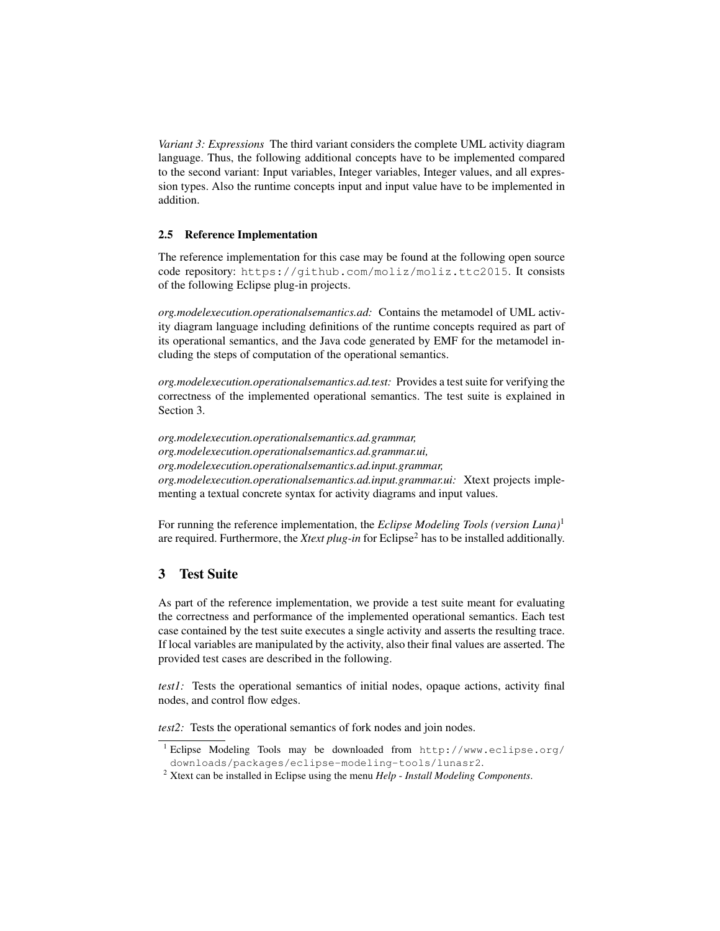*Variant 3: Expressions* The third variant considers the complete UML activity diagram language. Thus, the following additional concepts have to be implemented compared to the second variant: Input variables, Integer variables, Integer values, and all expression types. Also the runtime concepts input and input value have to be implemented in addition.

#### 2.5 Reference Implementation

The reference implementation for this case may be found at the following open source code repository: https://github.com/moliz/moliz.ttc2015. It consists of the following Eclipse plug-in projects.

*org.modelexecution.operationalsemantics.ad:* Contains the metamodel of UML activity diagram language including definitions of the runtime concepts required as part of its operational semantics, and the Java code generated by EMF for the metamodel including the steps of computation of the operational semantics.

*org.modelexecution.operationalsemantics.ad.test:* Provides a test suite for verifying the correctness of the implemented operational semantics. The test suite is explained in Section 3.

*org.modelexecution.operationalsemantics.ad.grammar, org.modelexecution.operationalsemantics.ad.grammar.ui, org.modelexecution.operationalsemantics.ad.input.grammar, org.modelexecution.operationalsemantics.ad.input.grammar.ui:* Xtext projects implementing a textual concrete syntax for activity diagrams and input values.

For running the reference implementation, the *Eclipse Modeling Tools (version Luna)*<sup>1</sup> are required. Furthermore, the *Xtext plug-in* for Eclipse<sup>2</sup> has to be installed additionally.

## 3 Test Suite

As part of the reference implementation, we provide a test suite meant for evaluating the correctness and performance of the implemented operational semantics. Each test case contained by the test suite executes a single activity and asserts the resulting trace. If local variables are manipulated by the activity, also their final values are asserted. The provided test cases are described in the following.

*test1:* Tests the operational semantics of initial nodes, opaque actions, activity final nodes, and control flow edges.

*test2*: Tests the operational semantics of fork nodes and join nodes.

<sup>1</sup> Eclipse Modeling Tools may be downloaded from http://www.eclipse.org/ downloads/packages/eclipse-modeling-tools/lunasr2.

<sup>2</sup> Xtext can be installed in Eclipse using the menu *Help* - *Install Modeling Components*.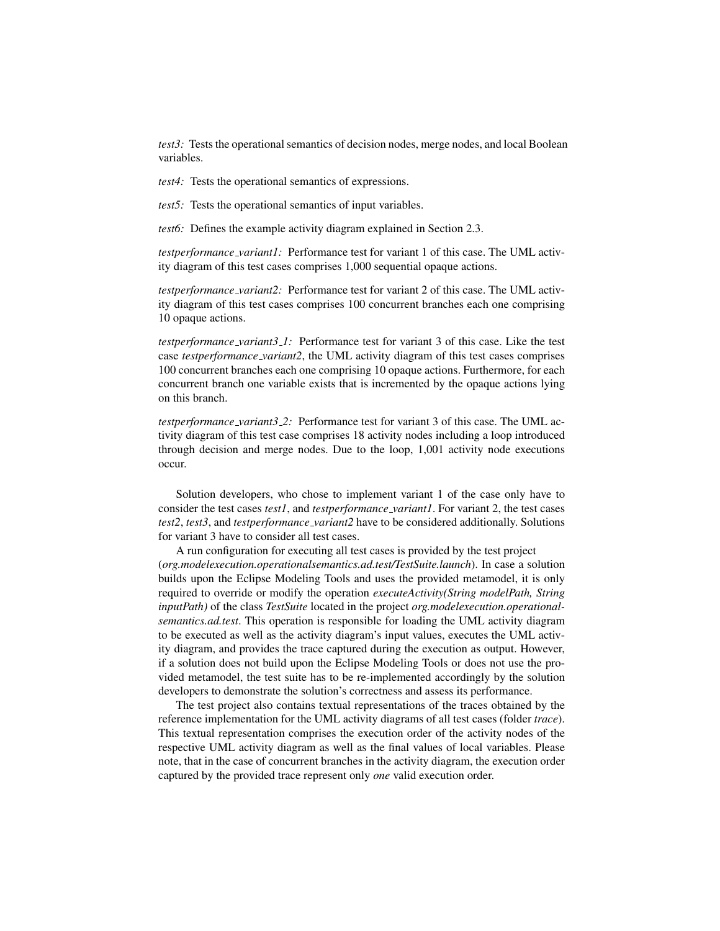*test3:* Tests the operational semantics of decision nodes, merge nodes, and local Boolean variables.

*test4:* Tests the operational semantics of expressions.

*test5:* Tests the operational semantics of input variables.

*test6:* Defines the example activity diagram explained in Section 2.3.

*testperformance variant1:* Performance test for variant 1 of this case. The UML activity diagram of this test cases comprises 1,000 sequential opaque actions.

*testperformance variant2:* Performance test for variant 2 of this case. The UML activity diagram of this test cases comprises 100 concurrent branches each one comprising 10 opaque actions.

*testperformance variant3 1:* Performance test for variant 3 of this case. Like the test case *testperformance variant2*, the UML activity diagram of this test cases comprises 100 concurrent branches each one comprising 10 opaque actions. Furthermore, for each concurrent branch one variable exists that is incremented by the opaque actions lying on this branch.

*testperformance variant3 2:* Performance test for variant 3 of this case. The UML activity diagram of this test case comprises 18 activity nodes including a loop introduced through decision and merge nodes. Due to the loop, 1,001 activity node executions occur.

Solution developers, who chose to implement variant 1 of the case only have to consider the test cases *test1*, and *testperformance variant1*. For variant 2, the test cases *test2*, *test3*, and *testperformance variant2* have to be considered additionally. Solutions for variant 3 have to consider all test cases.

A run configuration for executing all test cases is provided by the test project (*org.modelexecution.operationalsemantics.ad.test/TestSuite.launch*). In case a solution builds upon the Eclipse Modeling Tools and uses the provided metamodel, it is only required to override or modify the operation *executeActivity(String modelPath, String inputPath)* of the class *TestSuite* located in the project *org.modelexecution.operationalsemantics.ad.test*. This operation is responsible for loading the UML activity diagram to be executed as well as the activity diagram's input values, executes the UML activity diagram, and provides the trace captured during the execution as output. However, if a solution does not build upon the Eclipse Modeling Tools or does not use the provided metamodel, the test suite has to be re-implemented accordingly by the solution developers to demonstrate the solution's correctness and assess its performance.

The test project also contains textual representations of the traces obtained by the reference implementation for the UML activity diagrams of all test cases (folder *trace*). This textual representation comprises the execution order of the activity nodes of the respective UML activity diagram as well as the final values of local variables. Please note, that in the case of concurrent branches in the activity diagram, the execution order captured by the provided trace represent only *one* valid execution order.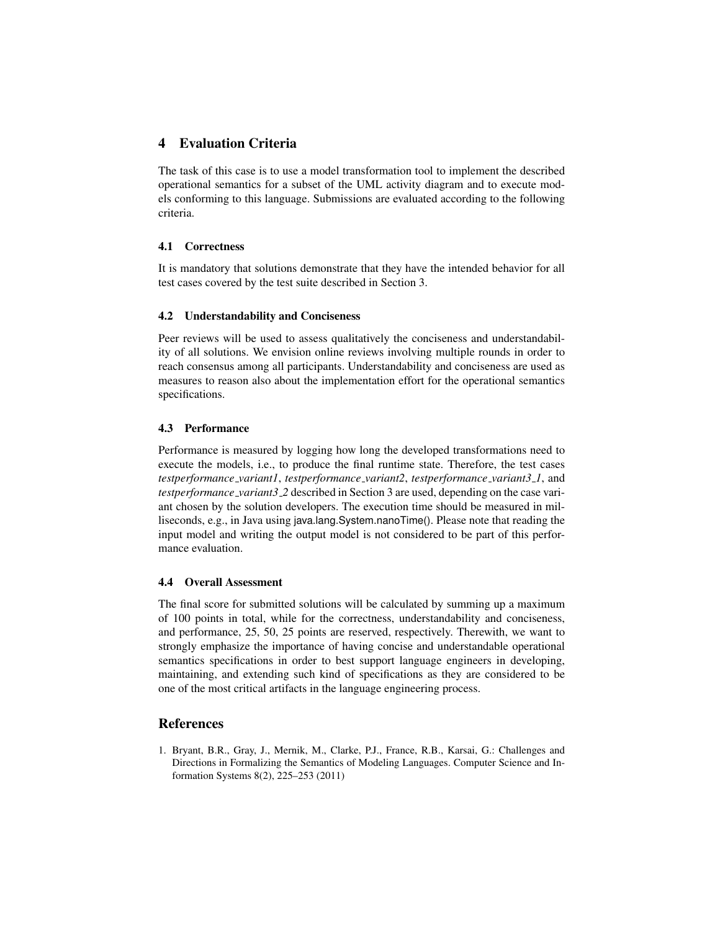## 4 Evaluation Criteria

The task of this case is to use a model transformation tool to implement the described operational semantics for a subset of the UML activity diagram and to execute models conforming to this language. Submissions are evaluated according to the following criteria.

## 4.1 Correctness

It is mandatory that solutions demonstrate that they have the intended behavior for all test cases covered by the test suite described in Section 3.

### 4.2 Understandability and Conciseness

Peer reviews will be used to assess qualitatively the conciseness and understandability of all solutions. We envision online reviews involving multiple rounds in order to reach consensus among all participants. Understandability and conciseness are used as measures to reason also about the implementation effort for the operational semantics specifications.

## 4.3 Performance

Performance is measured by logging how long the developed transformations need to execute the models, i.e., to produce the final runtime state. Therefore, the test cases *testperformance variant1*, *testperformance variant2*, *testperformance variant3 1*, and *testperformance variant3 2* described in Section 3 are used, depending on the case variant chosen by the solution developers. The execution time should be measured in milliseconds, e.g., in Java using java.lang.System.nanoTime(). Please note that reading the input model and writing the output model is not considered to be part of this performance evaluation.

### 4.4 Overall Assessment

The final score for submitted solutions will be calculated by summing up a maximum of 100 points in total, while for the correctness, understandability and conciseness, and performance, 25, 50, 25 points are reserved, respectively. Therewith, we want to strongly emphasize the importance of having concise and understandable operational semantics specifications in order to best support language engineers in developing, maintaining, and extending such kind of specifications as they are considered to be one of the most critical artifacts in the language engineering process.

## References

1. Bryant, B.R., Gray, J., Mernik, M., Clarke, P.J., France, R.B., Karsai, G.: Challenges and Directions in Formalizing the Semantics of Modeling Languages. Computer Science and Information Systems 8(2), 225–253 (2011)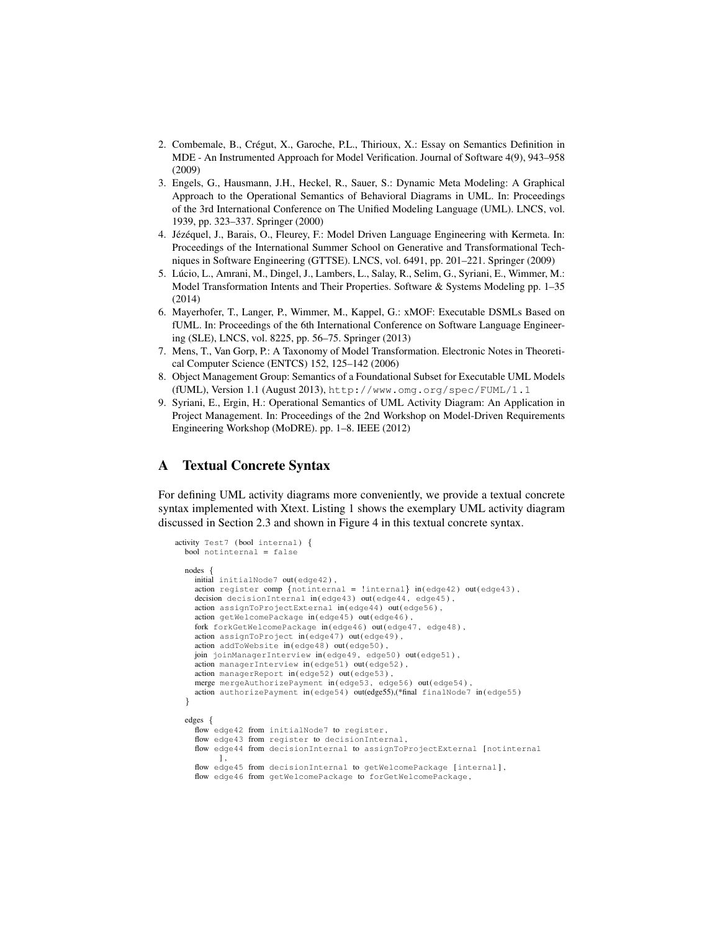- 2. Combemale, B., Cregut, X., Garoche, P.L., Thirioux, X.: Essay on Semantics Definition in ´ MDE - An Instrumented Approach for Model Verification. Journal of Software 4(9), 943–958 (2009)
- 3. Engels, G., Hausmann, J.H., Heckel, R., Sauer, S.: Dynamic Meta Modeling: A Graphical Approach to the Operational Semantics of Behavioral Diagrams in UML. In: Proceedings of the 3rd International Conference on The Unified Modeling Language (UML). LNCS, vol. 1939, pp. 323–337. Springer (2000)
- 4. Jézéquel, J., Barais, O., Fleurey, F.: Model Driven Language Engineering with Kermeta. In: Proceedings of the International Summer School on Generative and Transformational Techniques in Software Engineering (GTTSE). LNCS, vol. 6491, pp. 201–221. Springer (2009)
- 5. Lucio, L., Amrani, M., Dingel, J., Lambers, L., Salay, R., Selim, G., Syriani, E., Wimmer, M.: ´ Model Transformation Intents and Their Properties. Software & Systems Modeling pp. 1–35 (2014)
- 6. Mayerhofer, T., Langer, P., Wimmer, M., Kappel, G.: xMOF: Executable DSMLs Based on fUML. In: Proceedings of the 6th International Conference on Software Language Engineering (SLE), LNCS, vol. 8225, pp. 56–75. Springer (2013)
- 7. Mens, T., Van Gorp, P.: A Taxonomy of Model Transformation. Electronic Notes in Theoretical Computer Science (ENTCS) 152, 125–142 (2006)
- 8. Object Management Group: Semantics of a Foundational Subset for Executable UML Models (fUML), Version 1.1 (August 2013), http://www.omg.org/spec/FUML/1.1
- 9. Syriani, E., Ergin, H.: Operational Semantics of UML Activity Diagram: An Application in Project Management. In: Proceedings of the 2nd Workshop on Model-Driven Requirements Engineering Workshop (MoDRE). pp. 1–8. IEEE (2012)

## A Textual Concrete Syntax

For defining UML activity diagrams more conveniently, we provide a textual concrete syntax implemented with Xtext. Listing 1 shows the exemplary UML activity diagram discussed in Section 2.3 and shown in Figure 4 in this textual concrete syntax.

```
activity Test7 ( bool internal) {
  bool notinternal = false
  nodes {
    initial initialNode7 out (edge42) ,
    action register comp {notinternal = !internal} in (edge42) out(edge43),
    decision decisionInternal in (edge43) out (edge44, edge45),
    action assignToProjectExternal in (edge44) out (edge56) ,
    action getWelcomePackage in (edge45) out (edge46)
    fork forkGetWelcomePackage in (edge46) out (edge47 , edge48) ,
    action assignToProject in (edge47) out (edge49) ,
    action addToWebsite in (edge48) out (edge50) ,
    join joinManagerInterview in (edge49, edge50) out (edge51),
    action managerInterview in (edge51) out (edge52) ,
    action managerReport in (edge52) out (edge53) ,
    merge mergeAuthorizePayment in (edge53, edge56) out (edge54).
    action authorizePayment in (edge54) out(edge55),(*final finalNode7 in (edge55)
  }
  edges {
    flow edge42 from initialNode7 to register,
    flow edge43 from register to decisionInternal,
    flow edge44 from decisionInternal to assignToProjectExternal [notinternal
         ] ,
    flow edge45 from decisionInternal to getWelcomePackage [internal],
    flow edge46 from getWelcomePackage to forGetWelcomePackage ,
```